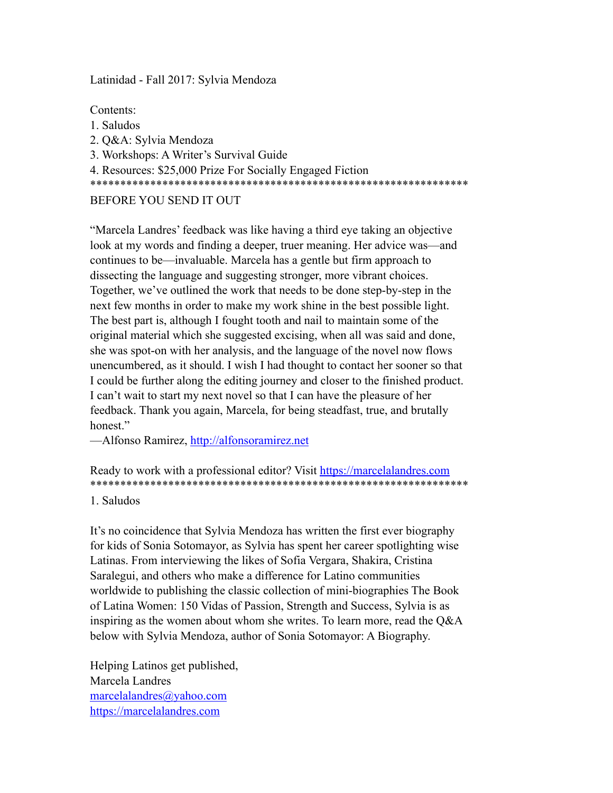Latinidad - Fall 2017: Sylvia Mendoza

Contents:

- 1. Saludos
- 2. Q&A: Sylvia Mendoza
- 3. Workshops: A Writer's Survival Guide

4. Resources: \$25,000 Prize For Socially Engaged Fiction

\*\*\*\*\*\*\*\*\*\*\*\*\*\*\*\*\*\*\*\*\*\*\*\*\*\*\*\*\*\*\*\*\*\*\*\*\*\*\*\*\*\*\*\*\*\*\*\*\*\*\*\*\*\*\*\*\*\*\*\*\*\*\*

BEFORE YOU SEND IT OUT

"Marcela Landres' feedback was like having a third eye taking an objective look at my words and finding a deeper, truer meaning. Her advice was—and continues to be—invaluable. Marcela has a gentle but firm approach to dissecting the language and suggesting stronger, more vibrant choices. Together, we've outlined the work that needs to be done step-by-step in the next few months in order to make my work shine in the best possible light. The best part is, although I fought tooth and nail to maintain some of the original material which she suggested excising, when all was said and done, she was spot-on with her analysis, and the language of the novel now flows unencumbered, as it should. I wish I had thought to contact her sooner so that I could be further along the editing journey and closer to the finished product. I can't wait to start my next novel so that I can have the pleasure of her feedback. Thank you again, Marcela, for being steadfast, true, and brutally honest."

—Alfonso Ramirez,<http://alfonsoramirez.net>

Ready to work with a professional editor? Visit <https://marcelalandres.com> \*\*\*\*\*\*\*\*\*\*\*\*\*\*\*\*\*\*\*\*\*\*\*\*\*\*\*\*\*\*\*\*\*\*\*\*\*\*\*\*\*\*\*\*\*\*\*\*\*\*\*\*\*\*\*\*\*\*\*\*\*\*\*

1. Saludos

It's no coincidence that Sylvia Mendoza has written the first ever biography for kids of Sonia Sotomayor, as Sylvia has spent her career spotlighting wise Latinas. From interviewing the likes of Sofia Vergara, Shakira, Cristina Saralegui, and others who make a difference for Latino communities worldwide to publishing the classic collection of mini-biographies The Book of Latina Women: 150 Vidas of Passion, Strength and Success, Sylvia is as inspiring as the women about whom she writes. To learn more, read the Q&A below with Sylvia Mendoza, author of Sonia Sotomayor: A Biography.

Helping Latinos get published, Marcela Landres [marcelalandres@yahoo.com](mailto:marcelalandres@yahoo.com)  <https://marcelalandres.com>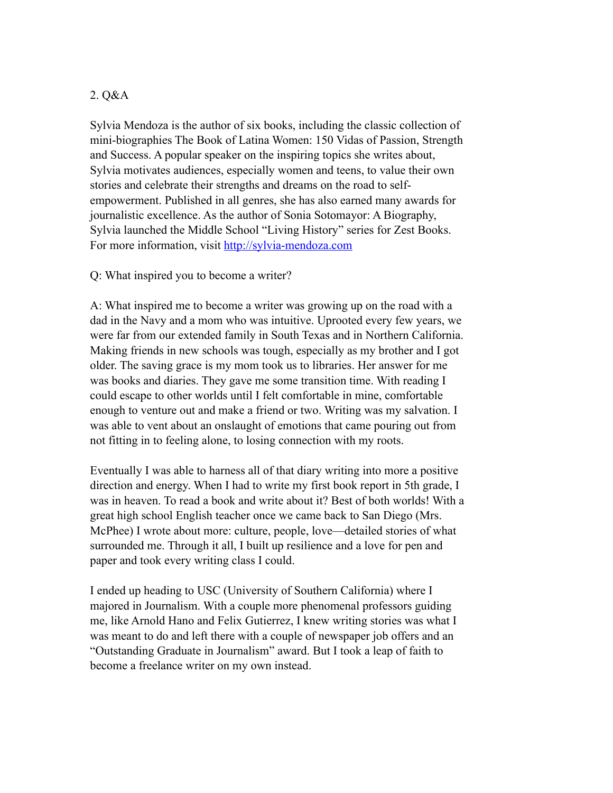#### 2. Q&A

Sylvia Mendoza is the author of six books, including the classic collection of mini-biographies The Book of Latina Women: 150 Vidas of Passion, Strength and Success. A popular speaker on the inspiring topics she writes about, Sylvia motivates audiences, especially women and teens, to value their own stories and celebrate their strengths and dreams on the road to selfempowerment. Published in all genres, she has also earned many awards for journalistic excellence. As the author of Sonia Sotomayor: A Biography, Sylvia launched the Middle School "Living History" series for Zest Books. For more information, visit <http://sylvia-mendoza.com>

#### Q: What inspired you to become a writer?

A: What inspired me to become a writer was growing up on the road with a dad in the Navy and a mom who was intuitive. Uprooted every few years, we were far from our extended family in South Texas and in Northern California. Making friends in new schools was tough, especially as my brother and I got older. The saving grace is my mom took us to libraries. Her answer for me was books and diaries. They gave me some transition time. With reading I could escape to other worlds until I felt comfortable in mine, comfortable enough to venture out and make a friend or two. Writing was my salvation. I was able to vent about an onslaught of emotions that came pouring out from not fitting in to feeling alone, to losing connection with my roots.

Eventually I was able to harness all of that diary writing into more a positive direction and energy. When I had to write my first book report in 5th grade, I was in heaven. To read a book and write about it? Best of both worlds! With a great high school English teacher once we came back to San Diego (Mrs. McPhee) I wrote about more: culture, people, love—detailed stories of what surrounded me. Through it all, I built up resilience and a love for pen and paper and took every writing class I could.

I ended up heading to USC (University of Southern California) where I majored in Journalism. With a couple more phenomenal professors guiding me, like Arnold Hano and Felix Gutierrez, I knew writing stories was what I was meant to do and left there with a couple of newspaper job offers and an "Outstanding Graduate in Journalism" award. But I took a leap of faith to become a freelance writer on my own instead.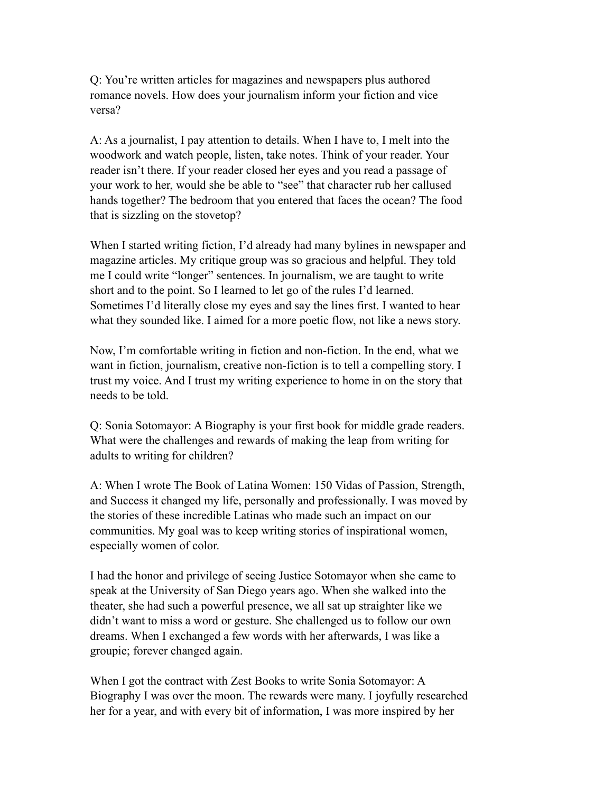Q: You're written articles for magazines and newspapers plus authored romance novels. How does your journalism inform your fiction and vice versa?

A: As a journalist, I pay attention to details. When I have to, I melt into the woodwork and watch people, listen, take notes. Think of your reader. Your reader isn't there. If your reader closed her eyes and you read a passage of your work to her, would she be able to "see" that character rub her callused hands together? The bedroom that you entered that faces the ocean? The food that is sizzling on the stovetop?

When I started writing fiction, I'd already had many bylines in newspaper and magazine articles. My critique group was so gracious and helpful. They told me I could write "longer" sentences. In journalism, we are taught to write short and to the point. So I learned to let go of the rules I'd learned. Sometimes I'd literally close my eyes and say the lines first. I wanted to hear what they sounded like. I aimed for a more poetic flow, not like a news story.

Now, I'm comfortable writing in fiction and non-fiction. In the end, what we want in fiction, journalism, creative non-fiction is to tell a compelling story. I trust my voice. And I trust my writing experience to home in on the story that needs to be told.

Q: Sonia Sotomayor: A Biography is your first book for middle grade readers. What were the challenges and rewards of making the leap from writing for adults to writing for children?

A: When I wrote The Book of Latina Women: 150 Vidas of Passion, Strength, and Success it changed my life, personally and professionally. I was moved by the stories of these incredible Latinas who made such an impact on our communities. My goal was to keep writing stories of inspirational women, especially women of color.

I had the honor and privilege of seeing Justice Sotomayor when she came to speak at the University of San Diego years ago. When she walked into the theater, she had such a powerful presence, we all sat up straighter like we didn't want to miss a word or gesture. She challenged us to follow our own dreams. When I exchanged a few words with her afterwards, I was like a groupie; forever changed again.

When I got the contract with Zest Books to write Sonia Sotomayor: A Biography I was over the moon. The rewards were many. I joyfully researched her for a year, and with every bit of information, I was more inspired by her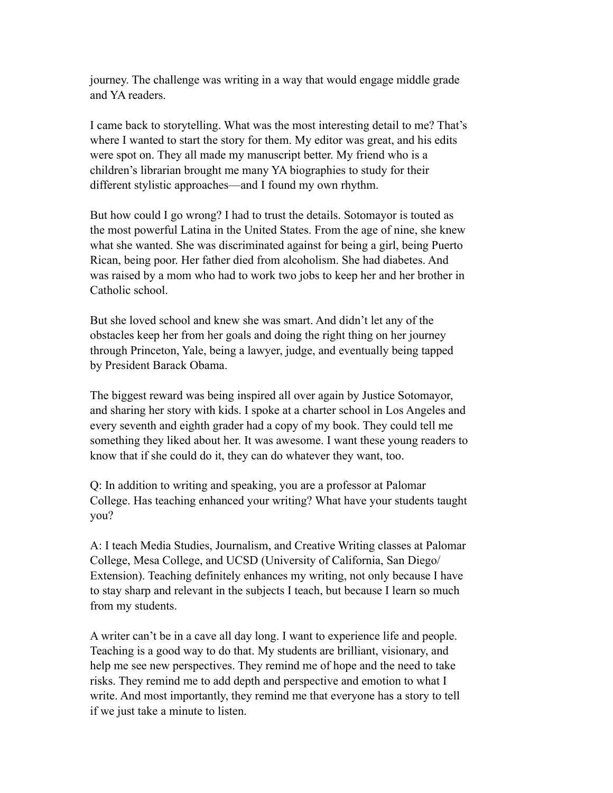journey. The challenge was writing in a way that would engage middle grade and YA readers.

I came back to storytelling. What was the most interesting detail to me? That's where I wanted to start the story for them. My editor was great, and his edits were spot on. They all made my manuscript better. My friend who is a children's librarian brought me many YA biographies to study for their different stylistic approaches—and I found my own rhythm.

But how could I go wrong? I had to trust the details. Sotomayor is touted as the most powerful Latina in the United States. From the age of nine, she knew what she wanted. She was discriminated against for being a girl, being Puerto Rican, being poor. Her father died from alcoholism. She had diabetes. And was raised by a mom who had to work two jobs to keep her and her brother in Catholic school.

But she loved school and knew she was smart. And didn't let any of the obstacles keep her from her goals and doing the right thing on her journey through Princeton, Yale, being a lawyer, judge, and eventually being tapped by President Barack Obama.

The biggest reward was being inspired all over again by Justice Sotomayor, and sharing her story with kids. I spoke at a charter school in Los Angeles and every seventh and eighth grader had a copy of my book. They could tell me something they liked about her. It was awesome. I want these young readers to know that if she could do it, they can do whatever they want, too.

Q: In addition to writing and speaking, you are a professor at Palomar College. Has teaching enhanced your writing? What have your students taught you?

A: I teach Media Studies, Journalism, and Creative Writing classes at Palomar College, Mesa College, and UCSD (University of California, San Diego/ Extension). Teaching definitely enhances my writing, not only because I have to stay sharp and relevant in the subjects I teach, but because I learn so much from my students.

A writer can't be in a cave all day long. I want to experience life and people. Teaching is a good way to do that. My students are brilliant, visionary, and help me see new perspectives. They remind me of hope and the need to take risks. They remind me to add depth and perspective and emotion to what I write. And most importantly, they remind me that everyone has a story to tell if we just take a minute to listen.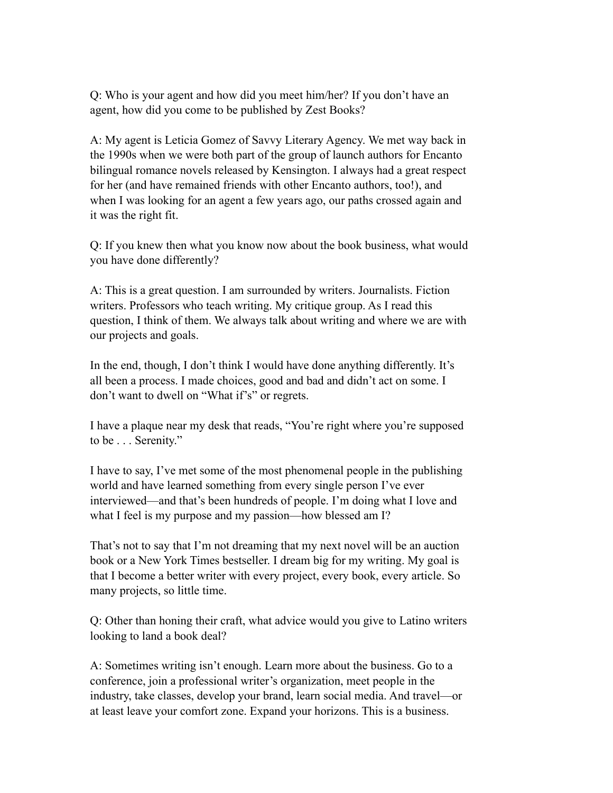Q: Who is your agent and how did you meet him/her? If you don't have an agent, how did you come to be published by Zest Books?

A: My agent is Leticia Gomez of Savvy Literary Agency. We met way back in the 1990s when we were both part of the group of launch authors for Encanto bilingual romance novels released by Kensington. I always had a great respect for her (and have remained friends with other Encanto authors, too!), and when I was looking for an agent a few years ago, our paths crossed again and it was the right fit.

Q: If you knew then what you know now about the book business, what would you have done differently?

A: This is a great question. I am surrounded by writers. Journalists. Fiction writers. Professors who teach writing. My critique group. As I read this question, I think of them. We always talk about writing and where we are with our projects and goals.

In the end, though, I don't think I would have done anything differently. It's all been a process. I made choices, good and bad and didn't act on some. I don't want to dwell on "What if's" or regrets.

I have a plaque near my desk that reads, "You're right where you're supposed to be . . . Serenity."

I have to say, I've met some of the most phenomenal people in the publishing world and have learned something from every single person I've ever interviewed—and that's been hundreds of people. I'm doing what I love and what I feel is my purpose and my passion—how blessed am I?

That's not to say that I'm not dreaming that my next novel will be an auction book or a New York Times bestseller. I dream big for my writing. My goal is that I become a better writer with every project, every book, every article. So many projects, so little time.

Q: Other than honing their craft, what advice would you give to Latino writers looking to land a book deal?

A: Sometimes writing isn't enough. Learn more about the business. Go to a conference, join a professional writer's organization, meet people in the industry, take classes, develop your brand, learn social media. And travel—or at least leave your comfort zone. Expand your horizons. This is a business.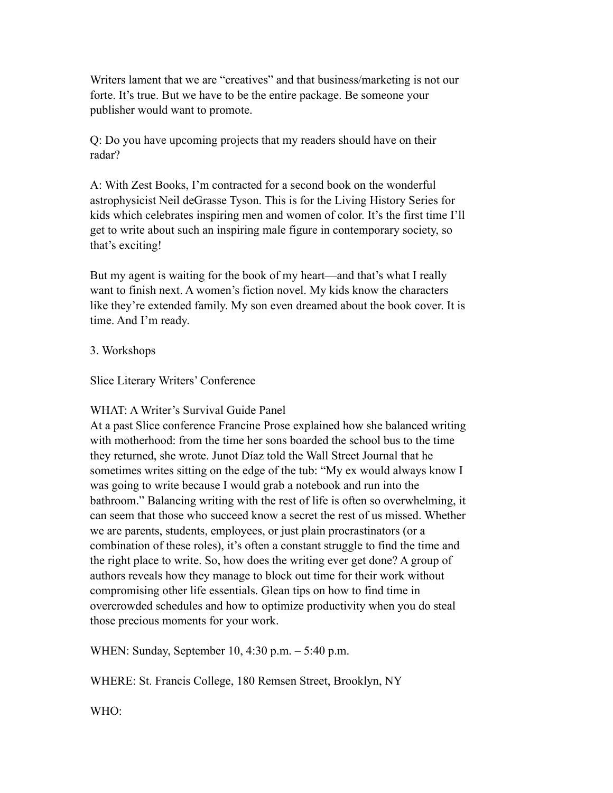Writers lament that we are "creatives" and that business/marketing is not our forte. It's true. But we have to be the entire package. Be someone your publisher would want to promote.

Q: Do you have upcoming projects that my readers should have on their radar?

A: With Zest Books, I'm contracted for a second book on the wonderful astrophysicist Neil deGrasse Tyson. This is for the Living History Series for kids which celebrates inspiring men and women of color. It's the first time I'll get to write about such an inspiring male figure in contemporary society, so that's exciting!

But my agent is waiting for the book of my heart—and that's what I really want to finish next. A women's fiction novel. My kids know the characters like they're extended family. My son even dreamed about the book cover. It is time. And I'm ready.

## 3. Workshops

Slice Literary Writers' Conference

## WHAT: A Writer's Survival Guide Panel

At a past Slice conference Francine Prose explained how she balanced writing with motherhood: from the time her sons boarded the school bus to the time they returned, she wrote. Junot Díaz told the Wall Street Journal that he sometimes writes sitting on the edge of the tub: "My ex would always know I was going to write because I would grab a notebook and run into the bathroom." Balancing writing with the rest of life is often so overwhelming, it can seem that those who succeed know a secret the rest of us missed. Whether we are parents, students, employees, or just plain procrastinators (or a combination of these roles), it's often a constant struggle to find the time and the right place to write. So, how does the writing ever get done? A group of authors reveals how they manage to block out time for their work without compromising other life essentials. Glean tips on how to find time in overcrowded schedules and how to optimize productivity when you do steal those precious moments for your work.

WHEN: Sunday, September 10, 4:30 p.m. – 5:40 p.m.

WHERE: St. Francis College, 180 Remsen Street, Brooklyn, NY

WHO: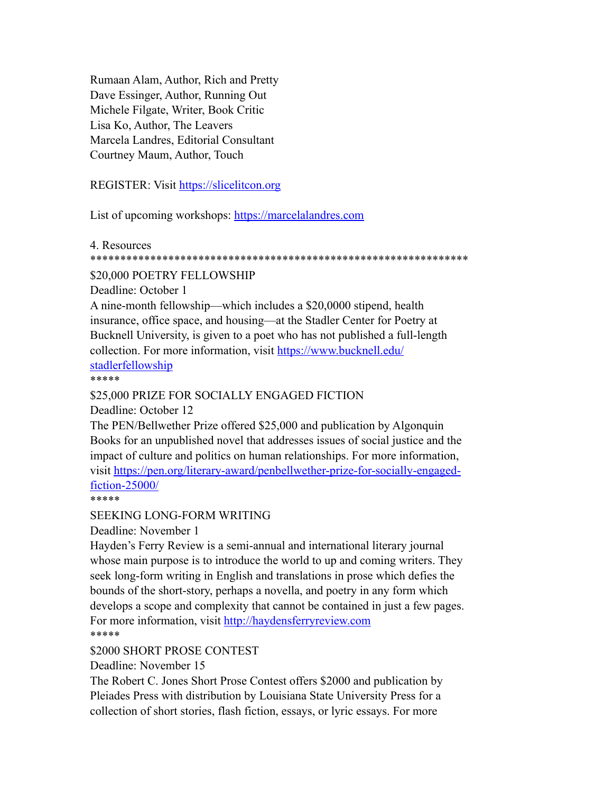Rumaan Alam, Author, Rich and Pretty Dave Essinger, Author, Running Out Michele Filgate, Writer, Book Critic Lisa Ko, Author, The Leavers Marcela Landres, Editorial Consultant Courtney Maum, Author, Touch

REGISTER: Visit<https://slicelitcon.org>

List of upcoming workshops: <https://marcelalandres.com>

4. Resources

#### \*\*\*\*\*\*\*\*\*\*\*\*\*\*\*\*\*\*\*\*\*\*\*\*\*\*\*\*\*\*\*\*\*\*\*\*\*\*\*\*\*\*\*\*\*\*\*\*\*\*\*\*\*\*\*\*\*\*\*\*\*\*\*

#### \$20,000 POETRY FELLOWSHIP

Deadline: October 1

A nine-month fellowship—which includes a \$20,0000 stipend, health insurance, office space, and housing—at the Stadler Center for Poetry at Bucknell University, is given to a poet who has not published a full-length collection. For more information, visit [https://www.bucknell.edu/](https://www.bucknell.edu/stadlerfellowship) [stadlerfellowship](https://www.bucknell.edu/stadlerfellowship)

\*\*\*\*\*

#### \$25,000 PRIZE FOR SOCIALLY ENGAGED FICTION

Deadline: October 12

The PEN/Bellwether Prize offered \$25,000 and publication by Algonquin Books for an unpublished novel that addresses issues of social justice and the impact of culture and politics on human relationships. For more information, visit [https://pen.org/literary-award/penbellwether-prize-for-socially-engaged](https://pen.org/literary-award/penbellwether-prize-for-socially-engaged-fiction-25000/)[fiction-25000/](https://pen.org/literary-award/penbellwether-prize-for-socially-engaged-fiction-25000/)

\*\*\*\*\*

SEEKING LONG-FORM WRITING

Deadline: November 1

Hayden's Ferry Review is a semi-annual and international literary journal whose main purpose is to introduce the world to up and coming writers. They seek long-form writing in English and translations in prose which defies the bounds of the short-story, perhaps a novella, and poetry in any form which develops a scope and complexity that cannot be contained in just a few pages. For more information, visit <http://haydensferryreview.com> \*\*\*\*\*

\$2000 SHORT PROSE CONTEST

Deadline: November 15

The Robert C. Jones Short Prose Contest offers \$2000 and publication by Pleiades Press with distribution by Louisiana State University Press for a collection of short stories, flash fiction, essays, or lyric essays. For more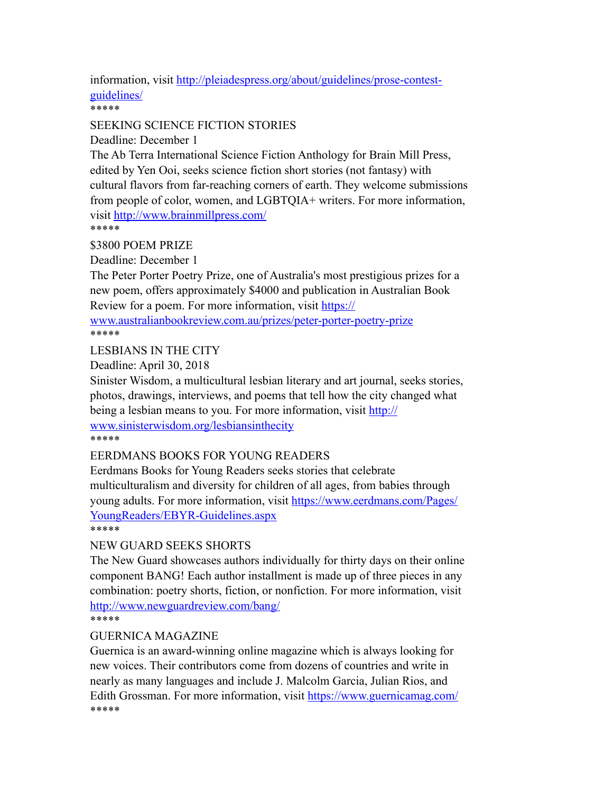information, visit [http://pleiadespress.org/about/guidelines/prose-contest](http://pleiadespress.org/about/guidelines/prose-contest-guidelines/)[guidelines/](http://pleiadespress.org/about/guidelines/prose-contest-guidelines/)

\*\*\*\*\*

### SEEKING SCIENCE FICTION STORIES

Deadline: December 1

The Ab Terra International Science Fiction Anthology for Brain Mill Press, edited by Yen Ooi, seeks science fiction short stories (not fantasy) with cultural flavors from far-reaching corners of earth. They welcome submissions from people of color, women, and LGBTQIA+ writers. For more information, visit <http://www.brainmillpress.com/>

\*\*\*\*\*

\$3800 POEM PRIZE

Deadline: December 1

The Peter Porter Poetry Prize, one of Australia's most prestigious prizes for a new poem, offers approximately \$4000 and publication in Australian Book Review for a poem. For more information, visit [https://](https://www.australianbookreview.com.au/prizes/peter-porter-poetry-prize)

[www.australianbookreview.com.au/prizes/peter-porter-poetry-prize](https://www.australianbookreview.com.au/prizes/peter-porter-poetry-prize) \*\*\*\*\*

LESBIANS IN THE CITY

Deadline: April 30, 2018

Sinister Wisdom, a multicultural lesbian literary and art journal, seeks stories, photos, drawings, interviews, and poems that tell how the city changed what being a lesbian means to you. For more information, visit [http://](http://www.sinisterwisdom.org/lesbiansinthecity) [www.sinisterwisdom.org/lesbiansinthecity](http://www.sinisterwisdom.org/lesbiansinthecity)

\*\*\*\*\*

#### EERDMANS BOOKS FOR YOUNG READERS

Eerdmans Books for Young Readers seeks stories that celebrate multiculturalism and diversity for children of all ages, from babies through young adults. For more information, visit [https://www.eerdmans.com/Pages/](https://www.eerdmans.com/Pages/YoungReaders/EBYR-Guidelines.aspx) [YoungReaders/EBYR-Guidelines.aspx](https://www.eerdmans.com/Pages/YoungReaders/EBYR-Guidelines.aspx) \*\*\*\*\*

NEW GUARD SEEKS SHORTS

The New Guard showcases authors individually for thirty days on their online component BANG! Each author installment is made up of three pieces in any combination: poetry shorts, fiction, or nonfiction. For more information, visit <http://www.newguardreview.com/bang/>

\*\*\*\*\*

## GUERNICA MAGAZINE

Guernica is an award-winning online magazine which is always looking for new voices. Their contributors come from dozens of countries and write in nearly as many languages and include J. Malcolm Garcia, Julian Rios, and Edith Grossman. For more information, visit<https://www.guernicamag.com/> \*\*\*\*\*